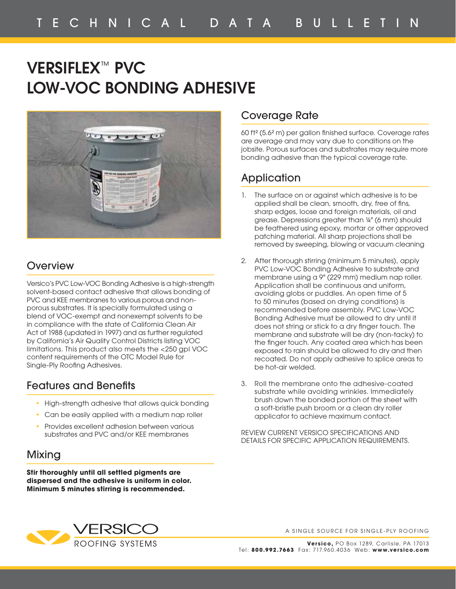# **VERSIFLEX**™ **PVC LOW-VOC BONDING ADHESIVE**



#### **Overview**

Versico's PVC Low-VOC Bonding Adhesive is a high-strength solvent-based contact adhesive that allows bonding of PVC and KEE membranes to various porous and nonporous substrates. It is specially formulated using a blend of VOC-exempt and nonexempt solvents to be in compliance with the state of California Clean Air Act of 1988 (updated in 1997) and as further regulated by California's Air Quality Control Districts listing VOC limitations. This product also meets the <250 gpl VOC content requirements of the OTC Model Rule for Single-Ply Roofing Adhesives.

#### Features and Benefits

- High-strength adhesive that allows quick bonding
- Can be easily applied with a medium nap roller
- Provides excellent adhesion between various substrates and PVC and/or KEE membranes

### Mixing

**Stir thoroughly until all settled pigments are dispersed and the adhesive is uniform in color. Minimum 5 minutes stirring is recommended.**

#### Coverage Rate

60 ft<sup>2</sup> (5.6<sup>2</sup> m) per gallon finished surface. Coverage rates are average and may vary due to conditions on the jobsite. Porous surfaces and substrates may require more bonding adhesive than the typical coverage rate.

## **Application**

- 1. The surface on or against which adhesive is to be applied shall be clean, smooth, dry, free of fins, sharp edges, loose and foreign materials, oil and grease. Depressions greater than ¼" (6 mm) should be feathered using epoxy, mortar or other approved patching material. All sharp projections shall be removed by sweeping, blowing or vacuum cleaning
- 2. After thorough stirring (minimum 5 minutes), apply PVC Low-VOC Bonding Adhesive to substrate and membrane using a 9" (229 mm) medium nap roller. Application shall be continuous and uniform, avoiding globs or puddles. An open time of 5 to 50 minutes (based on drying conditions) is recommended before assembly. PVC Low-VOC Bonding Adhesive must be allowed to dry until it does not string or stick to a dry finger touch. The membrane and substrate will be dry (non-tacky) to the finger touch. Any coated area which has been exposed to rain should be allowed to dry and then recoated. Do not apply adhesive to splice areas to be hot-air welded.
- 3. Roll the membrane onto the adhesive-coated substrate while avoiding wrinkles. Immediately brush down the bonded portion of the sheet with a soft-bristle push broom or a clean dry roller applicator to achieve maximum contact.

REVIEW CURRENT VERSICO SPECIFICATIONS AND DETAILS FOR SPECIFIC APPLICATION REQUIREMENTS.



A SINGLE SOURCE FOR SINGLE-PLY ROOFING